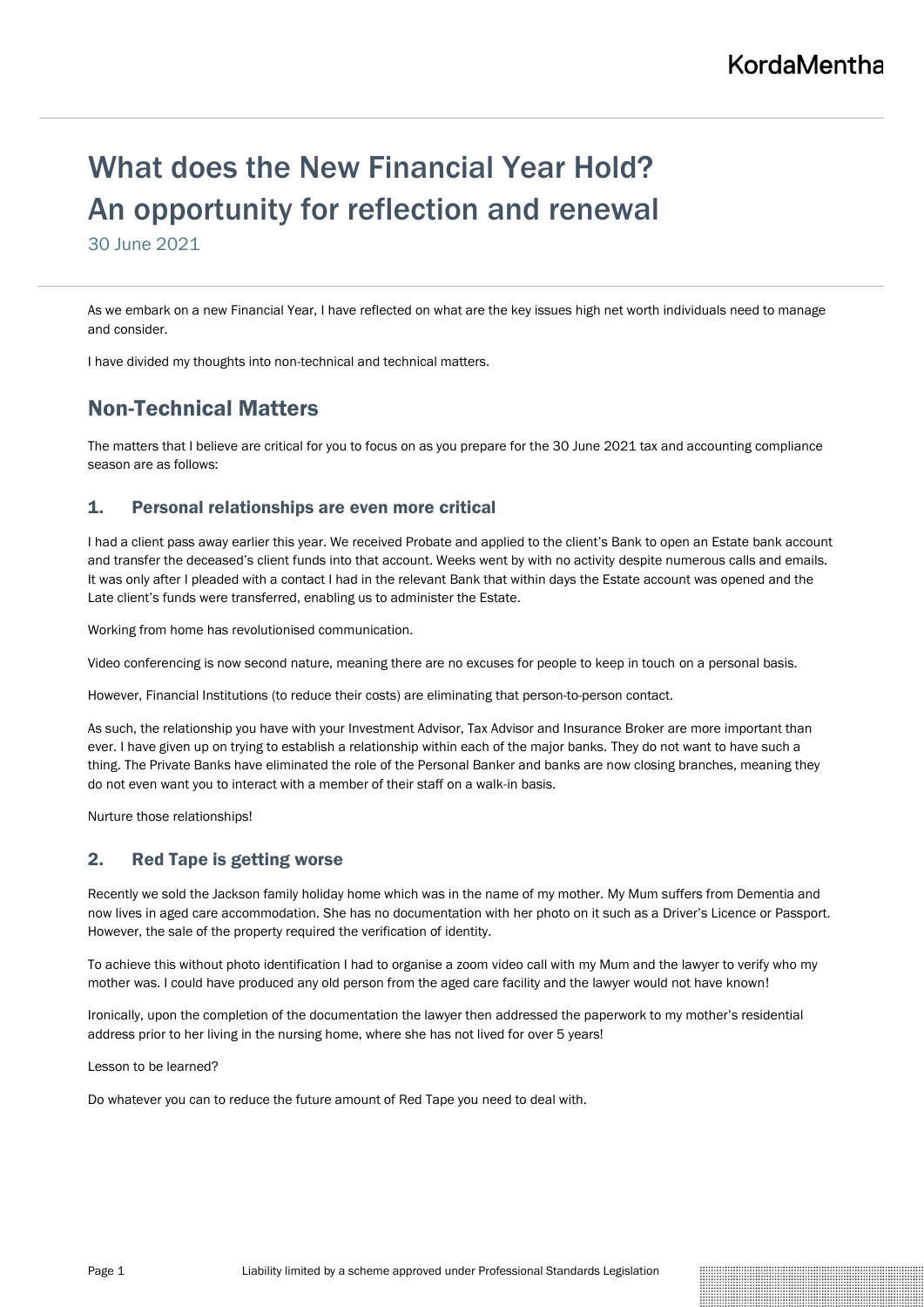# What does the New Financial Year Hold? An opportunity for reflection and renewal

30 June 2021

As we embark on a new Financial Year, I have reflected on what are the key issues high net worth individuals need to manage and consider.

I have divided my thoughts into non-technical and technical matters.

# Non-Technical Matters

The matters that I believe are critical for you to focus on as you prepare for the 30 June 2021 tax and accounting compliance season are as follows:

# 1. Personal relationships are even more critical

I had a client pass away earlier this year. We received Probate and applied to the client's Bank to open an Estate bank account and transfer the deceased's client funds into that account. Weeks went by with no activity despite numerous calls and emails. It was only after I pleaded with a contact I had in the relevant Bank that within days the Estate account was opened and the Late client's funds were transferred, enabling us to administer the Estate.

Working from home has revolutionised communication.

Video conferencing is now second nature, meaning there are no excuses for people to keep in touch on a personal basis.

However, Financial Institutions (to reduce their costs) are eliminating that person-to-person contact.

As such, the relationship you have with your Investment Advisor, Tax Advisor and Insurance Broker are more important than ever. I have given up on trying to establish a relationship within each of the major banks. They do not want to have such a thing. The Private Banks have eliminated the role of the Personal Banker and banks are now closing branches, meaning they do not even want you to interact with a member of their staff on a walk-in basis.

Nurture those relationships!

# 2. Red Tape is getting worse

Recently we sold the Jackson family holiday home which was in the name of my mother. My Mum suffers from Dementia and now lives in aged care accommodation. She has no documentation with her photo on it such as a Driver's Licence or Passport. However, the sale of the property required the verification of identity.

To achieve this without photo identification I had to organise a zoom video call with my Mum and the lawyer to verify who my mother was. I could have produced any old person from the aged care facility and the lawyer would not have known!

Ironically, upon the completion of the documentation the lawyer then addressed the paperwork to my mother's residential address prior to her living in the nursing home, where she has not lived for over 5 years!

Lesson to be learned?

Do whatever you can to reduce the future amount of Red Tape you need to deal with.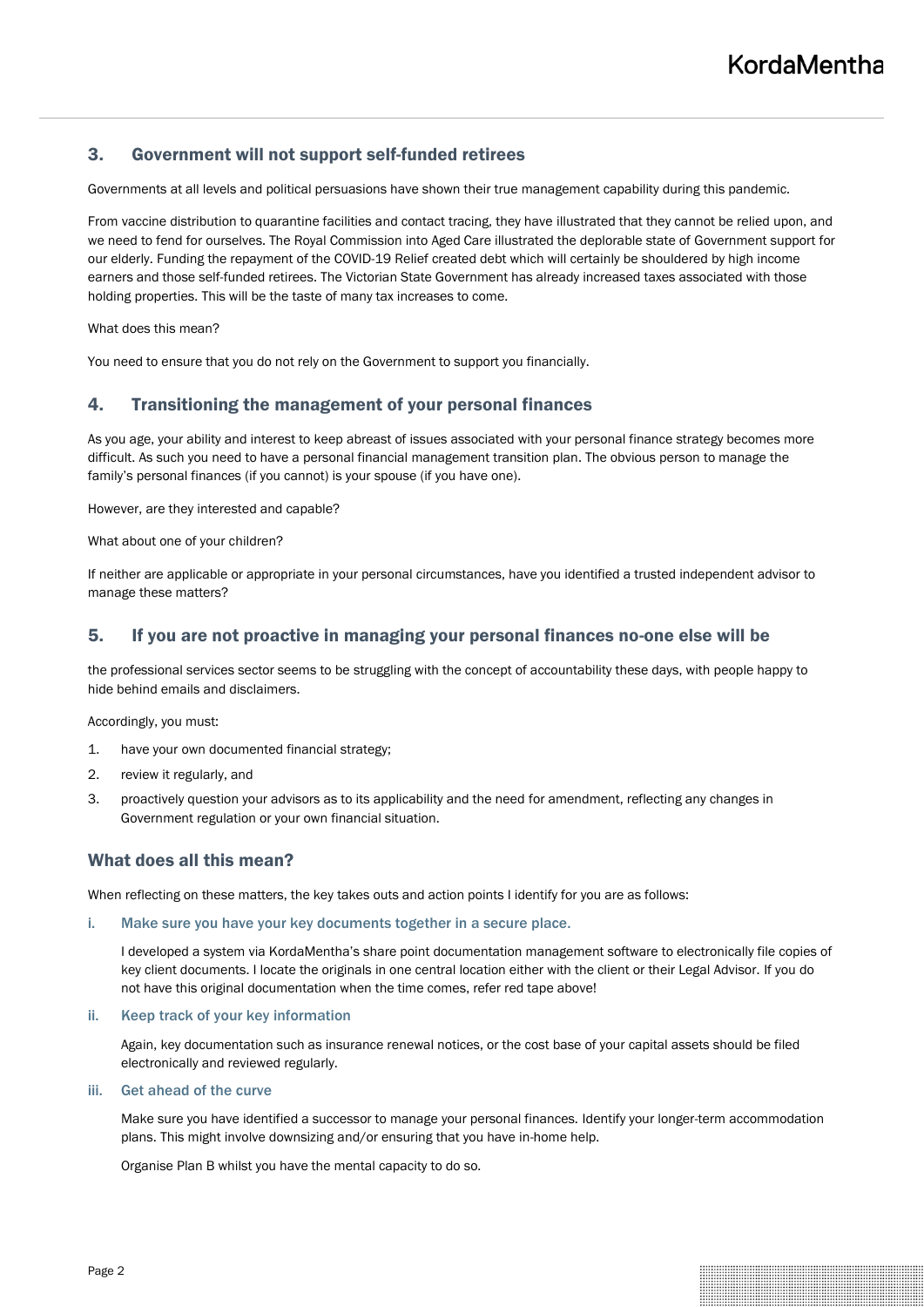# 3. Government will not support self-funded retirees

Governments at all levels and political persuasions have shown their true management capability during this pandemic.

From vaccine distribution to quarantine facilities and contact tracing, they have illustrated that they cannot be relied upon, and we need to fend for ourselves. The Royal Commission into Aged Care illustrated the deplorable state of Government support for our elderly. Funding the repayment of the COVID-19 Relief created debt which will certainly be shouldered by high income earners and those self-funded retirees. The Victorian State Government has already increased taxes associated with those holding properties. This will be the taste of many tax increases to come.

What does this mean?

You need to ensure that you do not rely on the Government to support you financially.

# 4. Transitioning the management of your personal finances

As you age, your ability and interest to keep abreast of issues associated with your personal finance strategy becomes more difficult. As such you need to have a personal financial management transition plan. The obvious person to manage the family's personal finances (if you cannot) is your spouse (if you have one).

However, are they interested and capable?

What about one of your children?

If neither are applicable or appropriate in your personal circumstances, have you identified a trusted independent advisor to manage these matters?

### 5. If you are not proactive in managing your personal finances no-one else will be

the professional services sector seems to be struggling with the concept of accountability these days, with people happy to hide behind emails and disclaimers.

Accordingly, you must:

- 1. have your own documented financial strategy;
- 2. review it regularly, and
- 3. proactively question your advisors as to its applicability and the need for amendment, reflecting any changes in Government regulation or your own financial situation.

# What does all this mean?

When reflecting on these matters, the key takes outs and action points I identify for you are as follows:

i. Make sure you have your key documents together in a secure place.

I developed a system via KordaMentha's share point documentation management software to electronically file copies of key client documents. I locate the originals in one central location either with the client or their Legal Advisor. If you do not have this original documentation when the time comes, refer red tape above!

### ii. Keep track of your key information

Again, key documentation such as insurance renewal notices, or the cost base of your capital assets should be filed electronically and reviewed regularly.

#### iii. Get ahead of the curve

Make sure you have identified a successor to manage your personal finances. Identify your longer-term accommodation plans. This might involve downsizing and/or ensuring that you have in-home help.

Organise Plan B whilst you have the mental capacity to do so.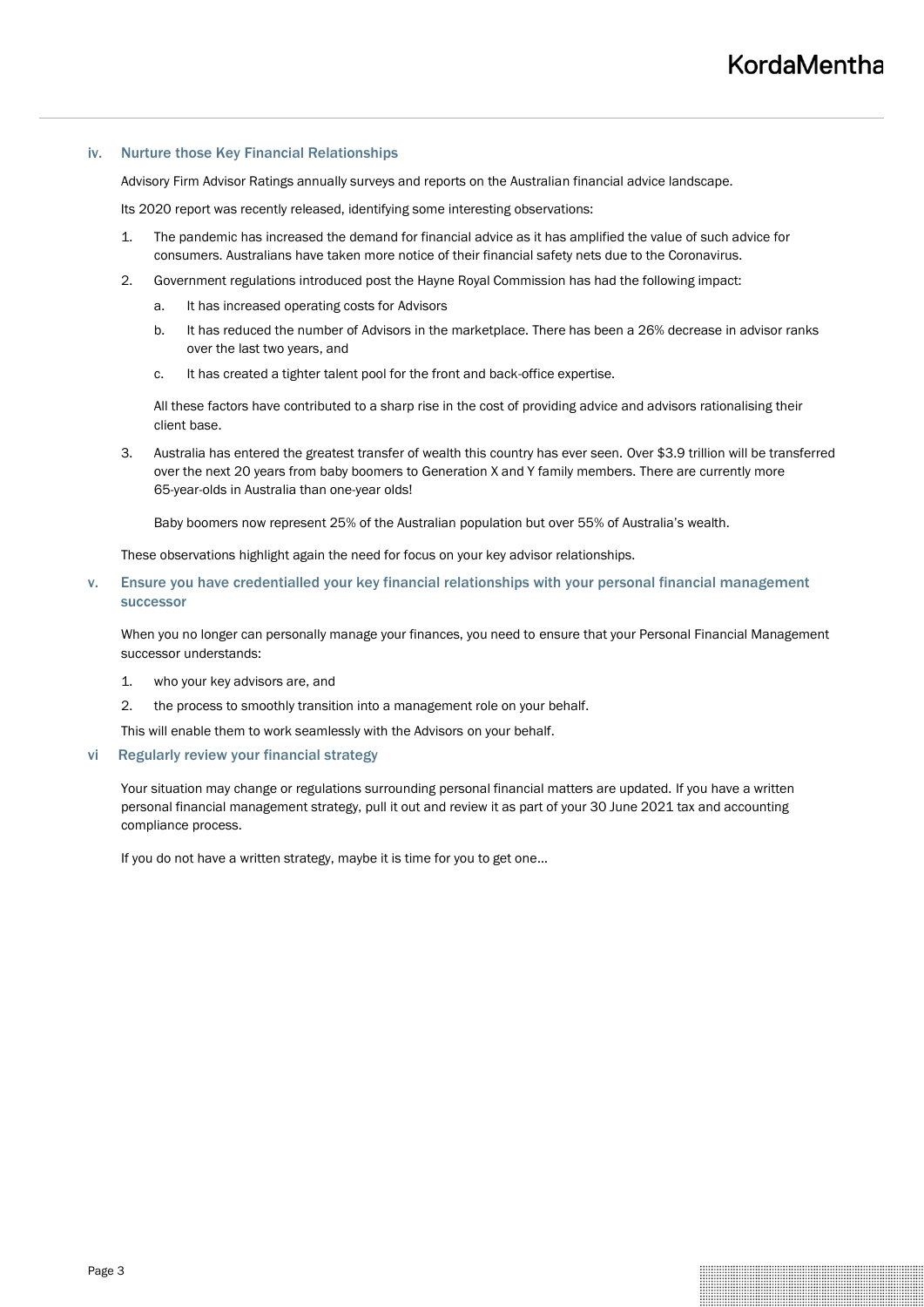### iv. Nurture those Key Financial Relationships

Advisory Firm Advisor Ratings annually surveys and reports on the Australian financial advice landscape.

Its 2020 report was recently released, identifying some interesting observations:

- 1. The pandemic has increased the demand for financial advice as it has amplified the value of such advice for consumers. Australians have taken more notice of their financial safety nets due to the Coronavirus.
- 2. Government regulations introduced post the Hayne Royal Commission has had the following impact:
	- a. It has increased operating costs for Advisors
	- b. It has reduced the number of Advisors in the marketplace. There has been a 26% decrease in advisor ranks over the last two years, and
	- c. It has created a tighter talent pool for the front and back-office expertise.

All these factors have contributed to a sharp rise in the cost of providing advice and advisors rationalising their client base.

3. Australia has entered the greatest transfer of wealth this country has ever seen. Over \$3.9 trillion will be transferred over the next 20 years from baby boomers to Generation X and Y family members. There are currently more 65-year-olds in Australia than one-year olds!

Baby boomers now represent 25% of the Australian population but over 55% of Australia's wealth.

These observations highlight again the need for focus on your key advisor relationships.

v. Ensure you have credentialled your key financial relationships with your personal financial management successor

When you no longer can personally manage your finances, you need to ensure that your Personal Financial Management successor understands:

- 1. who your key advisors are, and
- 2. the process to smoothly transition into a management role on your behalf.
- This will enable them to work seamlessly with the Advisors on your behalf.

### vi Regularly review your financial strategy

Your situation may change or regulations surrounding personal financial matters are updated. If you have a written personal financial management strategy, pull it out and review it as part of your 30 June 2021 tax and accounting compliance process.

If you do not have a written strategy, maybe it is time for you to get one…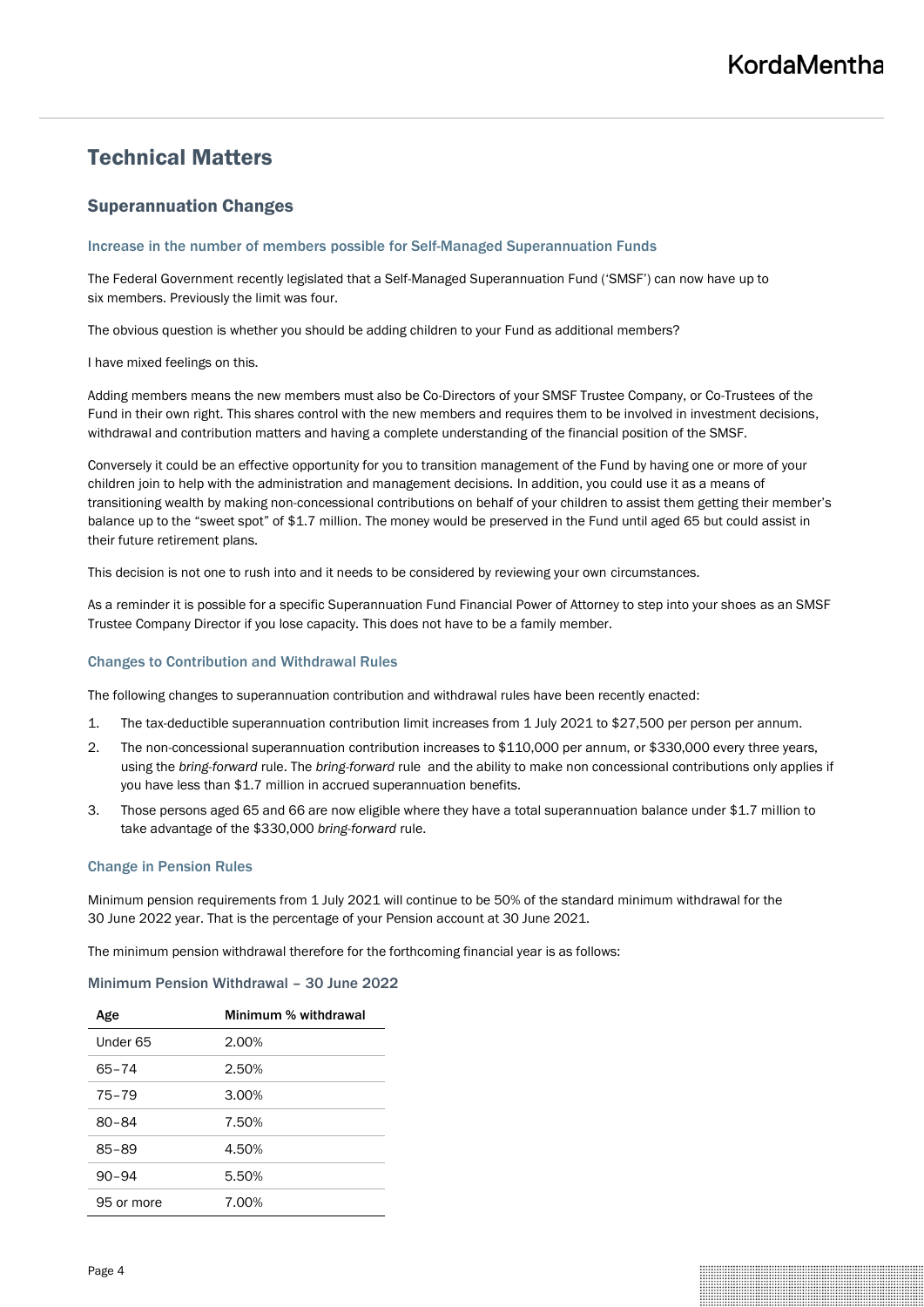# Technical Matters

# Superannuation Changes

### Increase in the number of members possible for Self-Managed Superannuation Funds

The Federal Government recently legislated that a Self-Managed Superannuation Fund ('SMSF') can now have up to six members. Previously the limit was four.

The obvious question is whether you should be adding children to your Fund as additional members?

I have mixed feelings on this.

Adding members means the new members must also be Co-Directors of your SMSF Trustee Company, or Co-Trustees of the Fund in their own right. This shares control with the new members and requires them to be involved in investment decisions, withdrawal and contribution matters and having a complete understanding of the financial position of the SMSF.

Conversely it could be an effective opportunity for you to transition management of the Fund by having one or more of your children join to help with the administration and management decisions. In addition, you could use it as a means of transitioning wealth by making non-concessional contributions on behalf of your children to assist them getting their member's balance up to the "sweet spot" of \$1.7 million. The money would be preserved in the Fund until aged 65 but could assist in their future retirement plans.

This decision is not one to rush into and it needs to be considered by reviewing your own circumstances.

As a reminder it is possible for a specific Superannuation Fund Financial Power of Attorney to step into your shoes as an SMSF Trustee Company Director if you lose capacity. This does not have to be a family member.

### Changes to Contribution and Withdrawal Rules

The following changes to superannuation contribution and withdrawal rules have been recently enacted:

- 1. The tax-deductible superannuation contribution limit increases from 1 July 2021 to \$27,500 per person per annum.
- 2. The non-concessional superannuation contribution increases to \$110,000 per annum, or \$330,000 every three years, using the *bring-forward* rule. The *bring-forward* rule and the ability to make non concessional contributions only applies if you have less than \$1.7 million in accrued superannuation benefits.
- 3. Those persons aged 65 and 66 are now eligible where they have a total superannuation balance under \$1.7 million to take advantage of the \$330,000 *bring-forward* rule.

### Change in Pension Rules

Minimum pension requirements from 1 July 2021 will continue to be 50% of the standard minimum withdrawal for the 30 June 2022 year. That is the percentage of your Pension account at 30 June 2021.

The minimum pension withdrawal therefore for the forthcoming financial year is as follows:

### Minimum Pension Withdrawal – 30 June 2022

| Age        | Minimum % withdrawal |
|------------|----------------------|
| Under 65   | 2.00%                |
| $65 - 74$  | 2.50%                |
| $75 - 79$  | 3.00%                |
| $80 - 84$  | 7.50%                |
| $85 - 89$  | 4.50%                |
| $90 - 94$  | 5.50%                |
| 95 or more | 7.00%                |